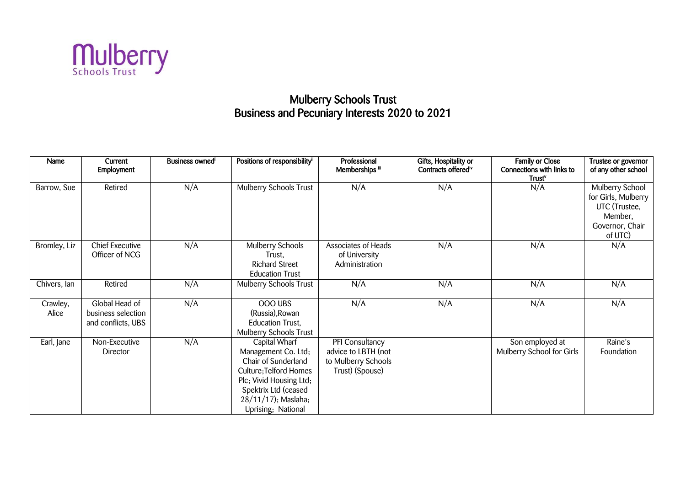

## Mulberry Schools Trust Business and Pecuniary Interests 2020 to 2021

| Name              | Current<br><b>Employment</b>                               | Business owned <sup>i</sup> | Positions of responsibility <sup>ii</sup>                                                                                                                                             | Professional<br>Memberships iii                                                  | Gifts, Hospitality or<br>Contracts offered <sup>iv</sup> | <b>Family or Close</b><br>Connections with links to<br>Trust <sup>v</sup> | Trustee or governor<br>of any other school                                                       |
|-------------------|------------------------------------------------------------|-----------------------------|---------------------------------------------------------------------------------------------------------------------------------------------------------------------------------------|----------------------------------------------------------------------------------|----------------------------------------------------------|---------------------------------------------------------------------------|--------------------------------------------------------------------------------------------------|
| Barrow, Sue       | Retired                                                    | N/A                         | Mulberry Schools Trust                                                                                                                                                                | N/A                                                                              | N/A                                                      | N/A                                                                       | Mulberry School<br>for Girls, Mulberry<br>UTC (Trustee,<br>Member,<br>Governor, Chair<br>of UTC) |
| Bromley, Liz      | <b>Chief Executive</b><br>Officer of NCG                   | N/A                         | Mulberry Schools<br>Trust.<br><b>Richard Street</b><br><b>Education Trust</b>                                                                                                         | Associates of Heads<br>of University<br>Administration                           | N/A                                                      | N/A                                                                       | N/A                                                                                              |
| Chivers, lan      | Retired                                                    | N/A                         | Mulberry Schools Trust                                                                                                                                                                | N/A                                                                              | N/A                                                      | N/A                                                                       | N/A                                                                                              |
| Crawley,<br>Alice | Global Head of<br>business selection<br>and conflicts, UBS | N/A                         | OOO UBS<br>(Russia), Rowan<br><b>Education Trust,</b><br>Mulberry Schools Trust                                                                                                       | N/A                                                                              | N/A                                                      | N/A                                                                       | N/A                                                                                              |
| Earl, Jane        | Non-Executive<br>Director                                  | N/A                         | Capital Wharf<br>Management Co. Ltd;<br>Chair of Sunderland<br>Culture; Telford Homes<br>Plc; Vivid Housing Ltd;<br>Spektrix Ltd (ceased<br>28/11/17); Maslaha;<br>Uprising; National | PFI Consultancy<br>advice to LBTH (not<br>to Mulberry Schools<br>Trust) (Spouse) |                                                          | Son employed at<br>Mulberry School for Girls                              | Raine's<br>Foundation                                                                            |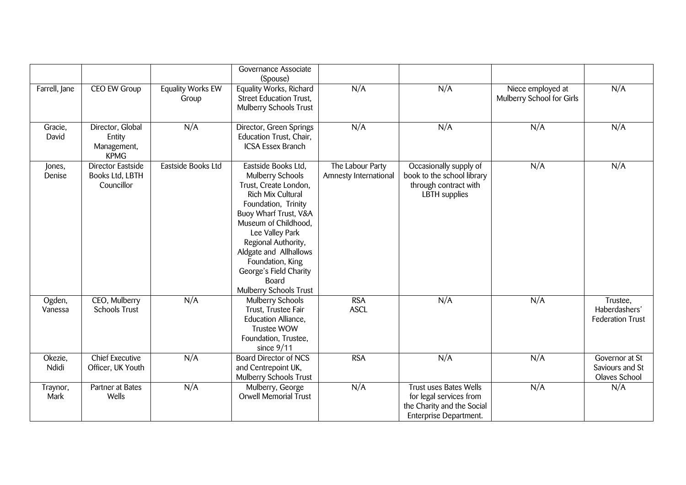|                   |                                                           |                            | Governance Associate<br>(Spouse)                                                                                                                                                                                                                                                                                   |                                           |                                                                                                                  |                                                |                                                      |
|-------------------|-----------------------------------------------------------|----------------------------|--------------------------------------------------------------------------------------------------------------------------------------------------------------------------------------------------------------------------------------------------------------------------------------------------------------------|-------------------------------------------|------------------------------------------------------------------------------------------------------------------|------------------------------------------------|------------------------------------------------------|
| Farrell, Jane     | CEO EW Group                                              | Equality Works EW<br>Group | Equality Works, Richard<br><b>Street Education Trust,</b><br>Mulberry Schools Trust                                                                                                                                                                                                                                | N/A                                       | N/A                                                                                                              | Niece employed at<br>Mulberry School for Girls | N/A                                                  |
| Gracie,<br>David  | Director, Global<br>Entity<br>Management,<br><b>KPMG</b>  | N/A                        | Director, Green Springs<br>Education Trust, Chair,<br><b>ICSA Essex Branch</b>                                                                                                                                                                                                                                     | N/A                                       | N/A                                                                                                              | N/A                                            | N/A                                                  |
| Jones,<br>Denise  | <b>Director Eastside</b><br>Books Ltd, LBTH<br>Councillor | Eastside Books Ltd         | Eastside Books Ltd,<br>Mulberry Schools<br>Trust, Create London,<br>Rich Mix Cultural<br>Foundation, Trinity<br>Buoy Wharf Trust, V&A<br>Museum of Childhood,<br>Lee Valley Park<br>Regional Authority,<br>Aldgate and Allhallows<br>Foundation, King<br>George's Field Charity<br>Board<br>Mulberry Schools Trust | The Labour Party<br>Amnesty International | Occasionally supply of<br>book to the school library<br>through contract with<br><b>LBTH</b> supplies            | N/A                                            | N/A                                                  |
| Ogden,<br>Vanessa | CEO, Mulberry<br><b>Schools Trust</b>                     | N/A                        | Mulberry Schools<br>Trust, Trustee Fair<br>Education Alliance,<br><b>Trustee WOW</b><br>Foundation, Trustee,<br>since $9/11$                                                                                                                                                                                       | <b>RSA</b><br><b>ASCL</b>                 | N/A                                                                                                              | N/A                                            | Trustee,<br>Haberdashers'<br><b>Federation Trust</b> |
| Okezie,<br>Ndidi  | <b>Chief Executive</b><br>Officer, UK Youth               | N/A                        | <b>Board Director of NCS</b><br>and Centrepoint UK,<br>Mulberry Schools Trust                                                                                                                                                                                                                                      | <b>RSA</b>                                | N/A                                                                                                              | N/A                                            | Governor at St<br>Saviours and St<br>Olaves School   |
| Traynor,<br>Mark  | Partner at Bates<br>Wells                                 | N/A                        | Mulberry, George<br>Orwell Memorial Trust                                                                                                                                                                                                                                                                          | N/A                                       | <b>Trust uses Bates Wells</b><br>for legal services from<br>the Charity and the Social<br>Enterprise Department. | N/A                                            | N/A                                                  |